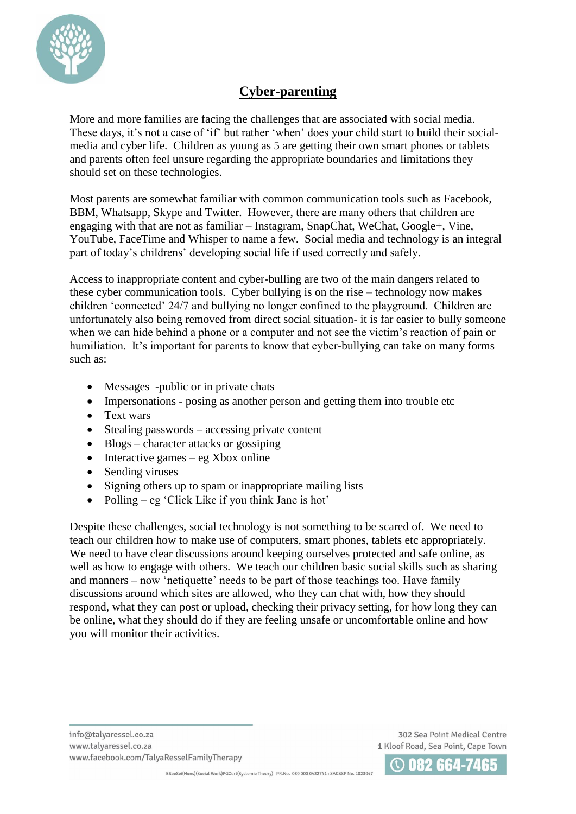

## **Cyber-parenting**

More and more families are facing the challenges that are associated with social media. These days, it's not a case of 'if' but rather 'when' does your child start to build their socialmedia and cyber life. Children as young as 5 are getting their own smart phones or tablets and parents often feel unsure regarding the appropriate boundaries and limitations they should set on these technologies.

Most parents are somewhat familiar with common communication tools such as Facebook, BBM, Whatsapp, Skype and Twitter. However, there are many others that children are engaging with that are not as familiar – Instagram, SnapChat, WeChat, Google+, Vine, YouTube, FaceTime and Whisper to name a few. Social media and technology is an integral part of today's childrens' developing social life if used correctly and safely.

Access to inappropriate content and cyber-bulling are two of the main dangers related to these cyber communication tools. Cyber bullying is on the rise – technology now makes children 'connected' 24/7 and bullying no longer confined to the playground. Children are unfortunately also being removed from direct social situation- it is far easier to bully someone when we can hide behind a phone or a computer and not see the victim's reaction of pain or humiliation. It's important for parents to know that cyber-bullying can take on many forms such as:

- Messages -public or in private chats
- Impersonations posing as another person and getting them into trouble etc
- Text wars
- $\bullet$  Stealing passwords accessing private content
- Blogs character attacks or gossiping
- $\bullet$  Interactive games eg Xbox online
- Sending viruses
- Signing others up to spam or inappropriate mailing lists
- Polling eg 'Click Like if you think Jane is hot'

Despite these challenges, social technology is not something to be scared of. We need to teach our children how to make use of computers, smart phones, tablets etc appropriately. We need to have clear discussions around keeping ourselves protected and safe online, as well as how to engage with others. We teach our children basic social skills such as sharing and manners – now 'netiquette' needs to be part of those teachings too. Have family discussions around which sites are allowed, who they can chat with, how they should respond, what they can post or upload, checking their privacy setting, for how long they can be online, what they should do if they are feeling unsafe or uncomfortable online and how you will monitor their activities.

302 Sea Point Medical Centre 1 Kloof Road, Sea Point, Cape Town

BSocSci(Hons)(Social Work)PGCert(Systemic Theory) PR.No. 089 000 0432741 : SACSSP No. 1023947